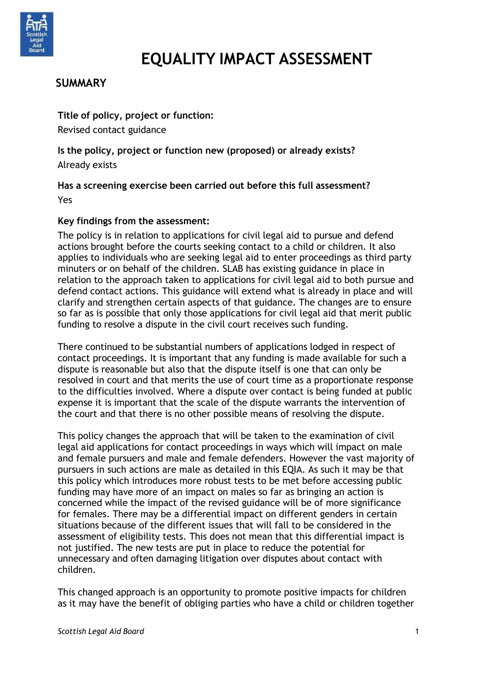

# **EQUALITY IMPACT ASSESSMENT**

# **SUMMARY**

**Title of policy, project or function:** Revised contact guidance

**Is the policy, project or function new (proposed) or already exists?** Already exists

**Has a screening exercise been carried out before this full assessment?** Yes

## **Key findings from the assessment:**

The policy is in relation to applications for civil legal aid to pursue and defend actions brought before the courts seeking contact to a child or children. It also applies to individuals who are seeking legal aid to enter proceedings as third party minuters or on behalf of the children. SLAB has existing guidance in place in relation to the approach taken to applications for civil legal aid to both pursue and defend contact actions. This guidance will extend what is already in place and will clarify and strengthen certain aspects of that guidance. The changes are to ensure so far as is possible that only those applications for civil legal aid that merit public funding to resolve a dispute in the civil court receives such funding.

There continued to be substantial numbers of applications lodged in respect of contact proceedings. It is important that any funding is made available for such a dispute is reasonable but also that the dispute itself is one that can only be resolved in court and that merits the use of court time as a proportionate response to the difficulties involved. Where a dispute over contact is being funded at public expense it is important that the scale of the dispute warrants the intervention of the court and that there is no other possible means of resolving the dispute.

This policy changes the approach that will be taken to the examination of civil legal aid applications for contact proceedings in ways which will impact on male and female pursuers and male and female defenders. However the vast majority of pursuers in such actions are male as detailed in this EQIA. As such it may be that this policy which introduces more robust tests to be met before accessing public funding may have more of an impact on males so far as bringing an action is concerned while the impact of the revised guidance will be of more significance for females. There may be a differential impact on different genders in certain situations because of the different issues that will fall to be considered in the assessment of eligibility tests. This does not mean that this differential impact is not justified. The new tests are put in place to reduce the potential for unnecessary and often damaging litigation over disputes about contact with children.

This changed approach is an opportunity to promote positive impacts for children as it may have the benefit of obliging parties who have a child or children together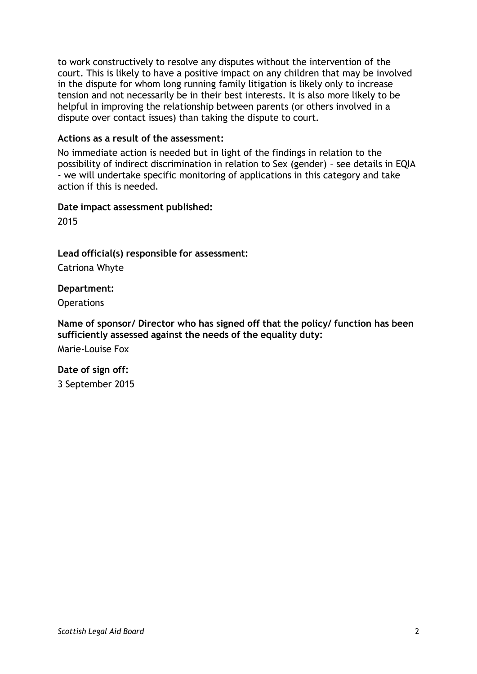to work constructively to resolve any disputes without the intervention of the court. This is likely to have a positive impact on any children that may be involved in the dispute for whom long running family litigation is likely only to increase tension and not necessarily be in their best interests. It is also more likely to be helpful in improving the relationship between parents (or others involved in a dispute over contact issues) than taking the dispute to court.

#### **Actions as a result of the assessment:**

No immediate action is needed but in light of the findings in relation to the possibility of indirect discrimination in relation to Sex (gender) – see details in EQIA - we will undertake specific monitoring of applications in this category and take action if this is needed.

#### **Date impact assessment published:**

2015

#### **Lead official(s) responsible for assessment:**

Catriona Whyte

**Department:**

**Operations** 

#### **Name of sponsor/ Director who has signed off that the policy/ function has been sufficiently assessed against the needs of the equality duty:**

Marie-Louise Fox

#### **Date of sign off:**

3 September 2015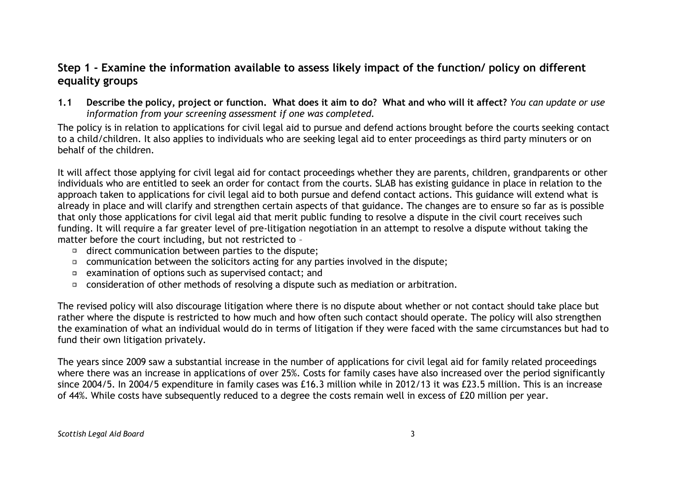# **Step 1 - Examine the information available to assess likely impact of the function/ policy on different equality groups**

1.1 Describe the policy, project or function. What does it aim to do? What and who will it affect? You can update or use *information from your screening assessment if one was completed.*

The policy is in relation to applications for civil legal aid to pursue and defend actions brought before the courts seeking contact to a child/children. It also applies to individuals who are seeking legal aid to enter proceedings as third party minuters or on behalf of the children.

It will affect those applying for civil legal aid for contact proceedings whether they are parents, children, grandparents or other individuals who are entitled to seek an order for contact from the courts. SLAB has existing guidance in place in relation to the approach taken to applications for civil legal aid to both pursue and defend contact actions. This guidance will extend what is already in place and will clarify and strengthen certain aspects of that guidance. The changes are to ensure so far as is possible that only those applications for civil legal aid that merit public funding to resolve a dispute in the civil court receives such funding. It will require a far greater level of pre-litigation negotiation in an attempt to resolve a dispute without taking the matter before the court including, but not restricted to –

- $\Box$  direct communication between parties to the dispute;
- communication between the solicitors acting for any parties involved in the dispute;
- examination of options such as supervised contact; and
- consideration of other methods of resolving a dispute such as mediation or arbitration.

The revised policy will also discourage litigation where there is no dispute about whether or not contact should take place but rather where the dispute is restricted to how much and how often such contact should operate. The policy will also strengthen the examination of what an individual would do in terms of litigation if they were faced with the same circumstances but had to fund their own litigation privately.

The years since 2009 saw a substantial increase in the number of applications for civil legal aid for family related proceedings where there was an increase in applications of over 25%. Costs for family cases have also increased over the period significantly since 2004/5. In 2004/5 expenditure in family cases was £16.3 million while in 2012/13 it was £23.5 million. This is an increase of 44%. While costs have subsequently reduced to a degree the costs remain well in excess of £20 million per year.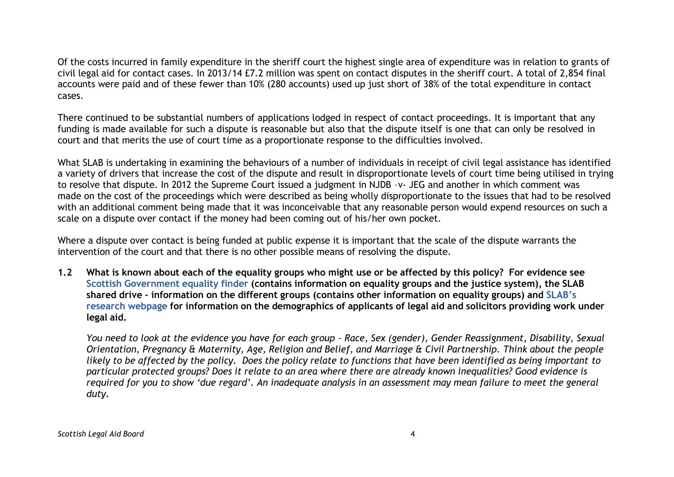Of the costs incurred in family expenditure in the sheriff court the highest single area of expenditure was in relation to grants of civil legal aid for contact cases. In 2013/14 £7.2 million was spent on contact disputes in the sheriff court. A total of 2,854 final accounts were paid and of these fewer than 10% (280 accounts) used up just short of 38% of the total expenditure in contact cases.

There continued to be substantial numbers of applications lodged in respect of contact proceedings. It is important that any funding is made available for such a dispute is reasonable but also that the dispute itself is one that can only be resolved in court and that merits the use of court time as a proportionate response to the difficulties involved.

What SLAB is undertaking in examining the behaviours of a number of individuals in receipt of civil legal assistance has identified a variety of drivers that increase the cost of the dispute and result in disproportionate levels of court time being utilised in trying to resolve that dispute. In 2012 the Supreme Court issued a judgment in NJDB –v- JEG and another in which comment was made on the cost of the proceedings which were described as being wholly disproportionate to the issues that had to be resolved with an additional comment being made that it was inconceivable that any reasonable person would expend resources on such a scale on a dispute over contact if the money had been coming out of his/her own pocket.

Where a dispute over contact is being funded at public expense it is important that the scale of the dispute warrants the intervention of the court and that there is no other possible means of resolving the dispute.

1.2 What is known about each of the equality groups who might use or be affected by this policy? For evidence see **Scottish [Government](http://www.scotland.gov.uk/Topics/People/Equality/Equalities/DataGrid) equality finder (contains information on equality groups and the justice system), the SLAB** shared drive - information on the different groups (contains other information on equality groups) and [SLAB](http://www.slab.org.uk/about-us/what-we-do/research/index.html)'s research [webpage](http://www.slab.org.uk/about-us/what-we-do/research/index.html) for information on the demographics of applicants of legal aid and solicitors providing work under **legal aid.**

You need to look at the evidence you have for each group - Race, Sex (gender), Gender Reassignment, Disability, Sexual Orientation, Pregnancy & Maternity, Age, Religion and Belief, and Marriage & Civil Partnership. Think about the people likely to be affected by the policy. Does the policy relate to functions that have been identified as being important to particular protected groups? Does it relate to an area where there are already known inequalities? Good evidence is required for you to show 'due regard'. An inadequate analysis in an assessment may mean failure to meet the general *duty.*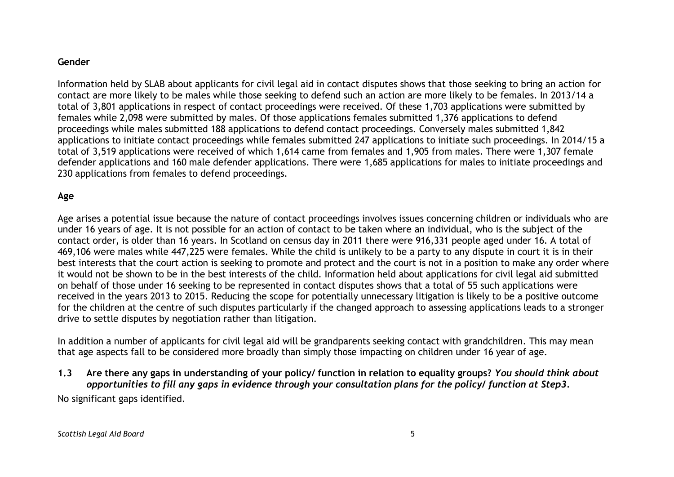#### **Gender**

Information held by SLAB about applicants for civil legal aid in contact disputes shows that those seeking to bring an action for contact are more likely to be males while those seeking to defend such an action are more likely to be females. In 2013/14 a total of 3,801 applications in respect of contact proceedings were received. Of these 1,703 applications were submitted by females while 2,098 were submitted by males. Of those applications females submitted 1,376 applications to defend proceedings while males submitted 188 applications to defend contact proceedings. Conversely males submitted 1,842 applications to initiate contact proceedings while females submitted 247 applications to initiate such proceedings. In 2014/15 a total of 3,519 applications were received of which 1,614 came from females and 1,905 from males. There were 1,307 female defender applications and 160 male defender applications. There were 1,685 applications for males to initiate proceedings and 230 applications from females to defend proceedings.

## **Age**

Age arises a potential issue because the nature of contact proceedings involves issues concerning children or individuals who are under 16 years of age. It is not possible for an action of contact to be taken where an individual, who is the subject of the contact order, is older than 16 years. In Scotland on census day in 2011 there were 916,331 people aged under 16. A total of 469,106 were males while 447,225 were females. While the child is unlikely to be a party to any dispute in court it is in their best interests that the court action is seeking to promote and protect and the court is not in a position to make any order where it would not be shown to be in the best interests of the child. Information held about applications for civil legal aid submitted on behalf of those under 16 seeking to be represented in contact disputes shows that a total of 55 such applications were received in the years 2013 to 2015. Reducing the scope for potentially unnecessary litigation is likely to be a positive outcome for the children at the centre of such disputes particularly if the changed approach to assessing applications leads to a stronger drive to settle disputes by negotiation rather than litigation.

In addition a number of applicants for civil legal aid will be grandparents seeking contact with grandchildren. This may mean that age aspects fall to be considered more broadly than simply those impacting on children under 16 year of age.

1.3 Are there any gaps in understanding of your policy/ function in relation to equality groups? You should think about opportunities to fill any gaps in evidence through your consultation plans for the policy/ function at Step3.

No significant gaps identified.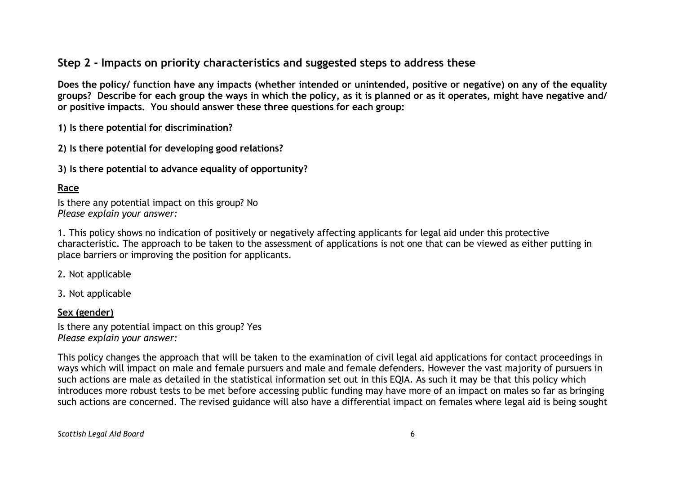# **Step 2 - Impacts on priority characteristics and suggested steps to address these**

Does the policy/ function have any impacts (whether intended or unintended, positive or negative) on any of the equality groups? Describe for each group the ways in which the policy, as it is planned or as it operates, might have negative and/ **or positive impacts. You should answer these three questions for each group:**

**1) Is there potential for discrimination?**

**2) Is there potential for developing good relations?**

**3) Is there potential to advance equality of opportunity?**

## **Race**

Is there any potential impact on this group? No *Please explain your answer:*

1. This policy shows no indication of positively or negatively affecting applicants for legal aid under this protective characteristic. The approach to be taken to the assessment of applications is not one that can be viewed as either putting in place barriers or improving the position for applicants.

2. Not applicable

3. Not applicable

#### **Sex (gender)**

Is there any potential impact on this group? Yes *Please explain your answer:*

This policy changes the approach that will be taken to the examination of civil legal aid applications for contact proceedings in ways which will impact on male and female pursuers and male and female defenders. However the vast majority of pursuers in such actions are male as detailed in the statistical information set out in this EQIA. As such it may be that this policy which introduces more robust tests to be met before accessing public funding may have more of an impact on males so far as bringing such actions are concerned. The revised guidance will also have a differential impact on females where legal aid is being sought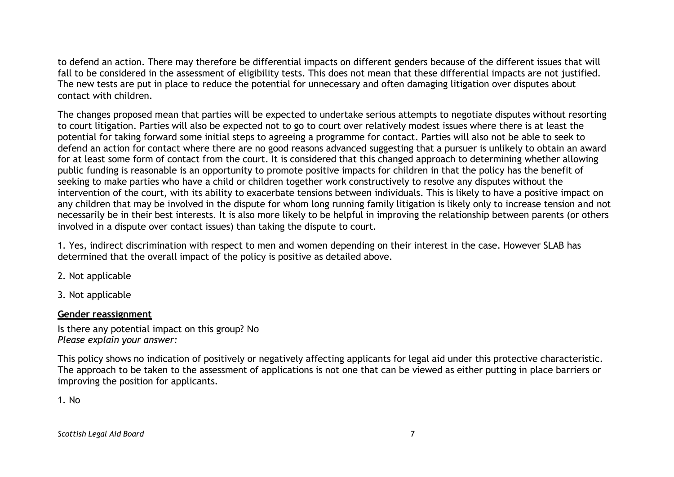to defend an action. There may therefore be differential impacts on different genders because of the different issues that will fall to be considered in the assessment of eligibility tests. This does not mean that these differential impacts are not justified. The new tests are put in place to reduce the potential for unnecessary and often damaging litigation over disputes about contact with children.

The changes proposed mean that parties will be expected to undertake serious attempts to negotiate disputes without resorting to court litigation. Parties will also be expected not to go to court over relatively modest issues where there is at least the potential for taking forward some initial steps to agreeing a programme for contact. Parties will also not be able to seek to defend an action for contact where there are no good reasons advanced suggesting that a pursuer is unlikely to obtain an award for at least some form of contact from the court. It is considered that this changed approach to determining whether allowing public funding is reasonable is an opportunity to promote positive impacts for children in that the policy has the benefit of seeking to make parties who have a child or children together work constructively to resolve any disputes without the intervention of the court, with its ability to exacerbate tensions between individuals. This is likely to have a positive impact on any children that may be involved in the dispute for whom long running family litigation is likely only to increase tension and not necessarily be in their best interests. It is also more likely to be helpful in improving the relationship between parents (or others involved in a dispute over contact issues) than taking the dispute to court.

1. Yes, indirect discrimination with respect to men and women depending on their interest in the case. However SLAB has determined that the overall impact of the policy is positive as detailed above.

2. Not applicable

3. Not applicable

## **Gender reassignment**

Is there any potential impact on this group? No *Please explain your answer:*

This policy shows no indication of positively or negatively affecting applicants for legal aid under this protective characteristic. The approach to be taken to the assessment of applications is not one that can be viewed as either putting in place barriers or improving the position for applicants.

1. No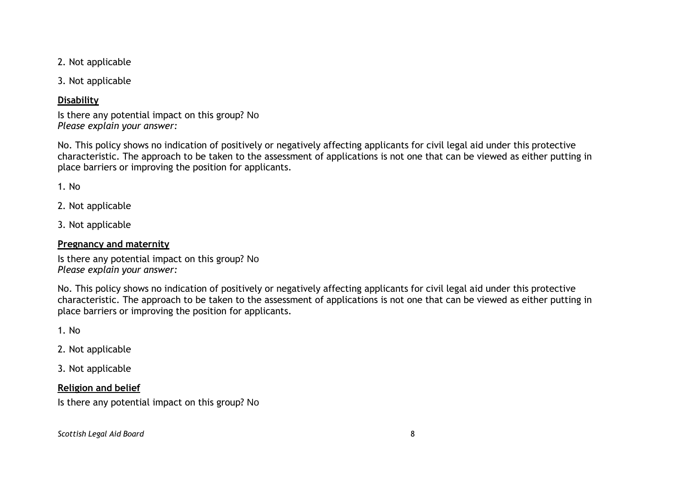2. Not applicable

3. Not applicable

## **Disability**

Is there any potential impact on this group? No *Please explain your answer:*

No. This policy shows no indication of positively or negatively affecting applicants for civil legal aid under this protective characteristic. The approach to be taken to the assessment of applications is not one that can be viewed as either putting in place barriers or improving the position for applicants.

1. No

2. Not applicable

3. Not applicable

#### **Pregnancy and maternity**

Is there any potential impact on this group? No *Please explain your answer:*

No. This policy shows no indication of positively or negatively affecting applicants for civil legal aid under this protective characteristic. The approach to be taken to the assessment of applications is not one that can be viewed as either putting in place barriers or improving the position for applicants.

1. No

2. Not applicable

3. Not applicable

## **Religion and belief**

Is there any potential impact on this group? No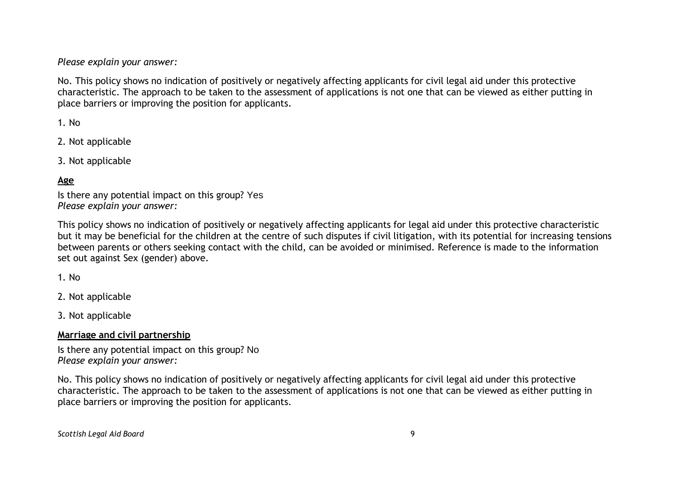*Please explain your answer:*

No. This policy shows no indication of positively or negatively affecting applicants for civil legal aid under this protective characteristic. The approach to be taken to the assessment of applications is not one that can be viewed as either putting in place barriers or improving the position for applicants.

1. No

2. Not applicable

3. Not applicable

#### **Age**

Is there any potential impact on this group? Yes *Please explain your answer:*

This policy shows no indication of positively or negatively affecting applicants for legal aid under this protective characteristic but it may be beneficial for the children at the centre of such disputes if civil litigation, with its potential for increasing tensions between parents or others seeking contact with the child, can be avoided or minimised. Reference is made to the information set out against Sex (gender) above.

1. No

2. Not applicable

3. Not applicable

#### **Marriage and civil partnership**

Is there any potential impact on this group? No *Please explain your answer:*

No. This policy shows no indication of positively or negatively affecting applicants for civil legal aid under this protective characteristic. The approach to be taken to the assessment of applications is not one that can be viewed as either putting in place barriers or improving the position for applicants.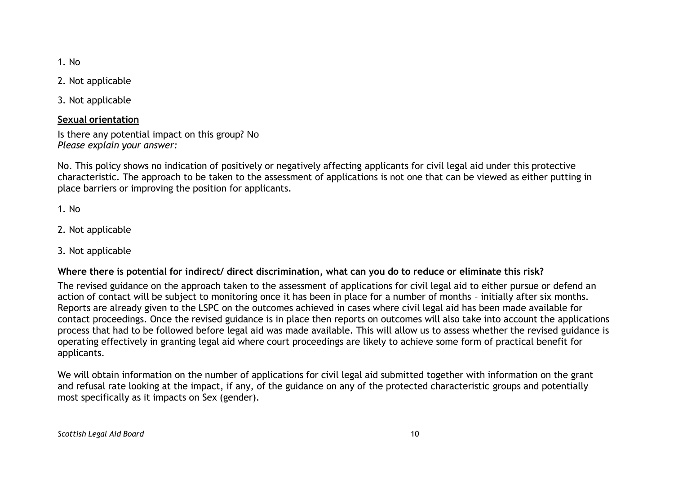1. No

2. Not applicable

3. Not applicable

#### **Sexual orientation**

Is there any potential impact on this group? No *Please explain your answer:*

No. This policy shows no indication of positively or negatively affecting applicants for civil legal aid under this protective characteristic. The approach to be taken to the assessment of applications is not one that can be viewed as either putting in place barriers or improving the position for applicants.

1. No

- 2. Not applicable
- 3. Not applicable

#### Where there is potential for indirect/ direct discrimination, what can you do to reduce or eliminate this risk?

The revised guidance on the approach taken to the assessment of applications for civil legal aid to either pursue or defend an action of contact will be subject to monitoring once it has been in place for a number of months – initially after six months. Reports are already given to the LSPC on the outcomes achieved in cases where civil legal aid has been made available for contact proceedings. Once the revised guidance is in place then reports on outcomes will also take into account the applications process that had to be followed before legal aid was made available. This will allow us to assess whether the revised guidance is operating effectively in granting legal aid where court proceedings are likely to achieve some form of practical benefit for applicants.

We will obtain information on the number of applications for civil legal aid submitted together with information on the grant and refusal rate looking at the impact, if any, of the guidance on any of the protected characteristic groups and potentially most specifically as it impacts on Sex (gender).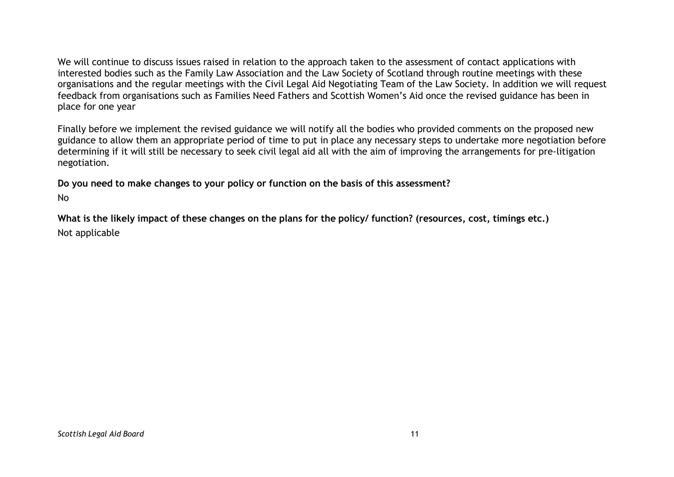We will continue to discuss issues raised in relation to the approach taken to the assessment of contact applications with interested bodies such as the Family Law Association and the Law Society of Scotland through routine meetings with these organisations and the regular meetings with the Civil Legal Aid Negotiating Team of the Law Society. In addition we will request feedback from organisations such as Families Need Fathers and Scottish Women's Aid once the revised guidance has been in place for one year

Finally before we implement the revised guidance we will notify all the bodies who provided comments on the proposed new guidance to allow them an appropriate period of time to put in place any necessary steps to undertake more negotiation before determining if it will still be necessary to seek civil legal aid all with the aim of improving the arrangements for pre-litigation negotiation.

**Do you need to make changes to your policy or function on the basis of this assessment?**

No

What is the likely impact of these changes on the plans for the policy/ function? (resources, cost, timings etc.) Not applicable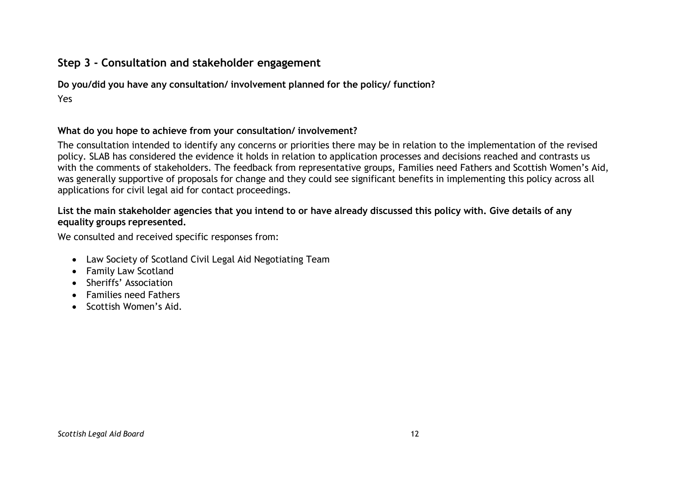# **Step 3 - Consultation and stakeholder engagement**

**Do you/did you have any consultation/ involvement planned for the policy/ function?** Yes

#### **What do you hope to achieve from your consultation/ involvement?**

The consultation intended to identify any concerns or priorities there may be in relation to the implementation of the revised policy. SLAB has considered the evidence it holds in relation to application processes and decisions reached and contrasts us with the comments of stakeholders. The feedback from representative groups, Families need Fathers and Scottish Women's Aid, was generally supportive of proposals for change and they could see significant benefits in implementing this policy across all applications for civil legal aid for contact proceedings.

#### List the main stakeholder agencies that you intend to or have already discussed this policy with. Give details of any **equality groups represented.**

We consulted and received specific responses from:

- Law Society of Scotland Civil Legal Aid Negotiating Team
- Family Law Scotland
- Sheriffs' Association
- Families need Fathers
- Scottish Women's Aid.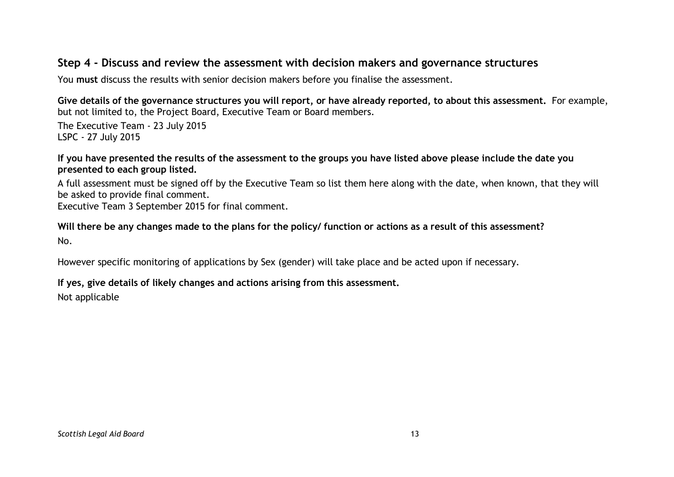## **Step 4 - Discuss and review the assessment with decision makers and governance structures**

You **must** discuss the results with senior decision makers before you finalise the assessment.

Give details of the governance structures you will report, or have already reported, to about this assessment. For example, but not limited to, the Project Board, Executive Team or Board members.

The Executive Team - 23 July 2015 LSPC - 27 July 2015

If you have presented the results of the assessment to the groups you have listed above please include the date you **presented to each group listed.**

A full assessment must be signed off by the Executive Team so list them here along with the date, when known, that they will be asked to provide final comment.

Executive Team 3 September 2015 for final comment.

Will there be any changes made to the plans for the policy/ function or actions as a result of this assessment? No.

However specific monitoring of applications by Sex (gender) will take place and be acted upon if necessary.

#### **If yes, give details of likely changes and actions arising from this assessment.**

Not applicable